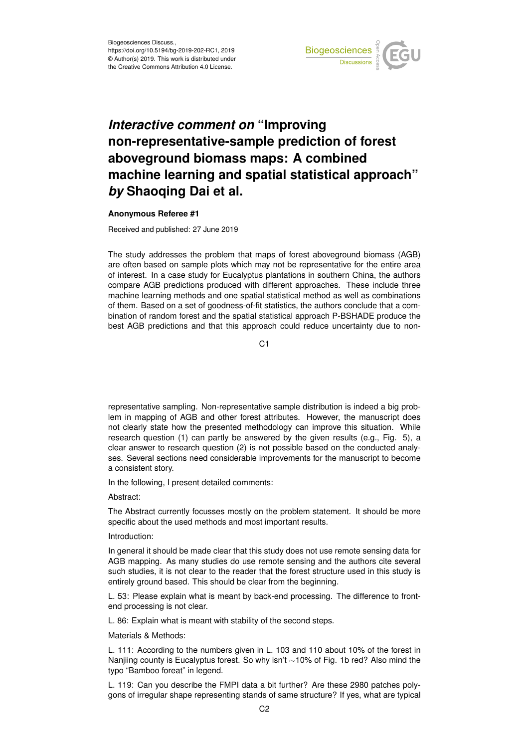

## *Interactive comment on* **"Improving non-representative-sample prediction of forest aboveground biomass maps: A combined machine learning and spatial statistical approach"** *by* **Shaoqing Dai et al.**

## **Anonymous Referee #1**

Received and published: 27 June 2019

The study addresses the problem that maps of forest aboveground biomass (AGB) are often based on sample plots which may not be representative for the entire area of interest. In a case study for Eucalyptus plantations in southern China, the authors compare AGB predictions produced with different approaches. These include three machine learning methods and one spatial statistical method as well as combinations of them. Based on a set of goodness-of-fit statistics, the authors conclude that a combination of random forest and the spatial statistical approach P-BSHADE produce the best AGB predictions and that this approach could reduce uncertainty due to non-

 $C<sub>1</sub>$ 

representative sampling. Non-representative sample distribution is indeed a big problem in mapping of AGB and other forest attributes. However, the manuscript does not clearly state how the presented methodology can improve this situation. While research question (1) can partly be answered by the given results (e.g., Fig. 5), a clear answer to research question (2) is not possible based on the conducted analyses. Several sections need considerable improvements for the manuscript to become a consistent story.

In the following, I present detailed comments:

Abstract:

The Abstract currently focusses mostly on the problem statement. It should be more specific about the used methods and most important results.

Introduction:

In general it should be made clear that this study does not use remote sensing data for AGB mapping. As many studies do use remote sensing and the authors cite several such studies, it is not clear to the reader that the forest structure used in this study is entirely ground based. This should be clear from the beginning.

L. 53: Please explain what is meant by back-end processing. The difference to frontend processing is not clear.

L. 86: Explain what is meant with stability of the second steps.

Materials & Methods:

L. 111: According to the numbers given in L. 103 and 110 about 10% of the forest in Nanjiing county is Eucalyptus forest. So why isn't ∼10% of Fig. 1b red? Also mind the typo "Bamboo foreat" in legend.

L. 119: Can you describe the FMPI data a bit further? Are these 2980 patches polygons of irregular shape representing stands of same structure? If yes, what are typical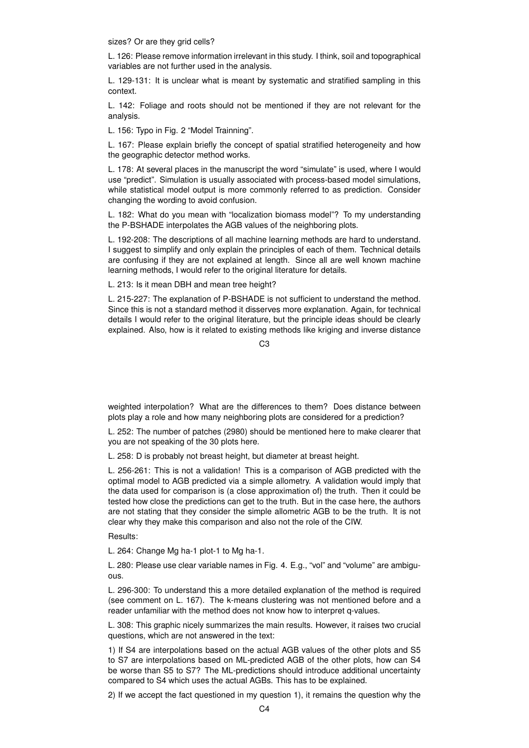sizes? Or are they grid cells?

L. 126: Please remove information irrelevant in this study. I think, soil and topographical variables are not further used in the analysis.

L. 129-131: It is unclear what is meant by systematic and stratified sampling in this context.

L. 142: Foliage and roots should not be mentioned if they are not relevant for the analysis.

L. 156: Typo in Fig. 2 "Model Trainning".

L. 167: Please explain briefly the concept of spatial stratified heterogeneity and how the geographic detector method works.

L. 178: At several places in the manuscript the word "simulate" is used, where I would use "predict". Simulation is usually associated with process-based model simulations, while statistical model output is more commonly referred to as prediction. Consider changing the wording to avoid confusion.

L. 182: What do you mean with "localization biomass model"? To my understanding the P-BSHADE interpolates the AGB values of the neighboring plots.

L. 192-208: The descriptions of all machine learning methods are hard to understand. I suggest to simplify and only explain the principles of each of them. Technical details are confusing if they are not explained at length. Since all are well known machine learning methods, I would refer to the original literature for details.

L. 213: Is it mean DBH and mean tree height?

L. 215-227: The explanation of P-BSHADE is not sufficient to understand the method. Since this is not a standard method it disserves more explanation. Again, for technical details I would refer to the original literature, but the principle ideas should be clearly explained. Also, how is it related to existing methods like kriging and inverse distance

C3

weighted interpolation? What are the differences to them? Does distance between plots play a role and how many neighboring plots are considered for a prediction?

L. 252: The number of patches (2980) should be mentioned here to make clearer that you are not speaking of the 30 plots here.

L. 258: D is probably not breast height, but diameter at breast height.

L. 256-261: This is not a validation! This is a comparison of AGB predicted with the optimal model to AGB predicted via a simple allometry. A validation would imply that the data used for comparison is (a close approximation of) the truth. Then it could be tested how close the predictions can get to the truth. But in the case here, the authors are not stating that they consider the simple allometric AGB to be the truth. It is not clear why they make this comparison and also not the role of the CIW.

Results:

L. 264: Change Mg ha-1 plot-1 to Mg ha-1.

L. 280: Please use clear variable names in Fig. 4. E.g., "vol" and "volume" are ambiguous.

L. 296-300: To understand this a more detailed explanation of the method is required (see comment on L. 167). The k-means clustering was not mentioned before and a reader unfamiliar with the method does not know how to interpret q-values.

L. 308: This graphic nicely summarizes the main results. However, it raises two crucial questions, which are not answered in the text:

1) If S4 are interpolations based on the actual AGB values of the other plots and S5 to S7 are interpolations based on ML-predicted AGB of the other plots, how can S4 be worse than S5 to S7? The ML-predictions should introduce additional uncertainty compared to S4 which uses the actual AGBs. This has to be explained.

2) If we accept the fact questioned in my question 1), it remains the question why the